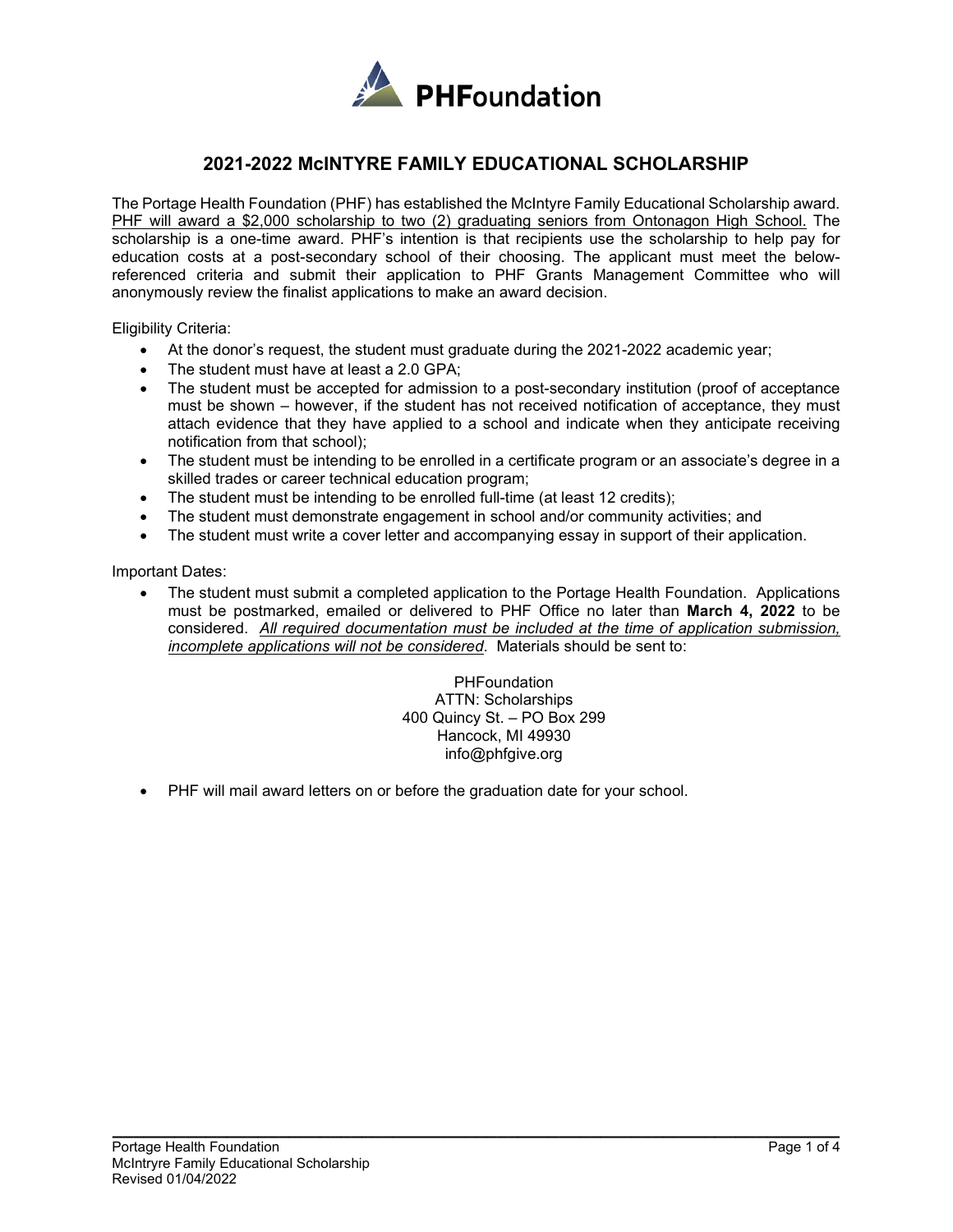

## **2021-2022 McINTYRE FAMILY EDUCATIONAL SCHOLARSHIP**

The Portage Health Foundation (PHF) has established the McIntyre Family Educational Scholarship award. PHF will award a \$2,000 scholarship to two (2) graduating seniors from Ontonagon High School. The scholarship is a one-time award. PHF's intention is that recipients use the scholarship to help pay for education costs at a post-secondary school of their choosing. The applicant must meet the belowreferenced criteria and submit their application to PHF Grants Management Committee who will anonymously review the finalist applications to make an award decision.

Eligibility Criteria:

- At the donor's request, the student must graduate during the 2021-2022 academic year;
- The student must have at least a 2.0 GPA;
- The student must be accepted for admission to a post-secondary institution (proof of acceptance must be shown – however, if the student has not received notification of acceptance, they must attach evidence that they have applied to a school and indicate when they anticipate receiving notification from that school);
- The student must be intending to be enrolled in a certificate program or an associate's degree in a skilled trades or career technical education program;
- The student must be intending to be enrolled full-time (at least 12 credits);
- The student must demonstrate engagement in school and/or community activities; and
- The student must write a cover letter and accompanying essay in support of their application.

Important Dates:

• The student must submit a completed application to the Portage Health Foundation. Applications must be postmarked, emailed or delivered to PHF Office no later than **March 4, 2022** to be considered. *All required documentation must be included at the time of application submission, incomplete applications will not be considered*. Materials should be sent to:

> **PHFoundation** ATTN: Scholarships 400 Quincy St. – PO Box 299 Hancock, MI 49930 info@phfgive.org

• PHF will mail award letters on or before the graduation date for your school.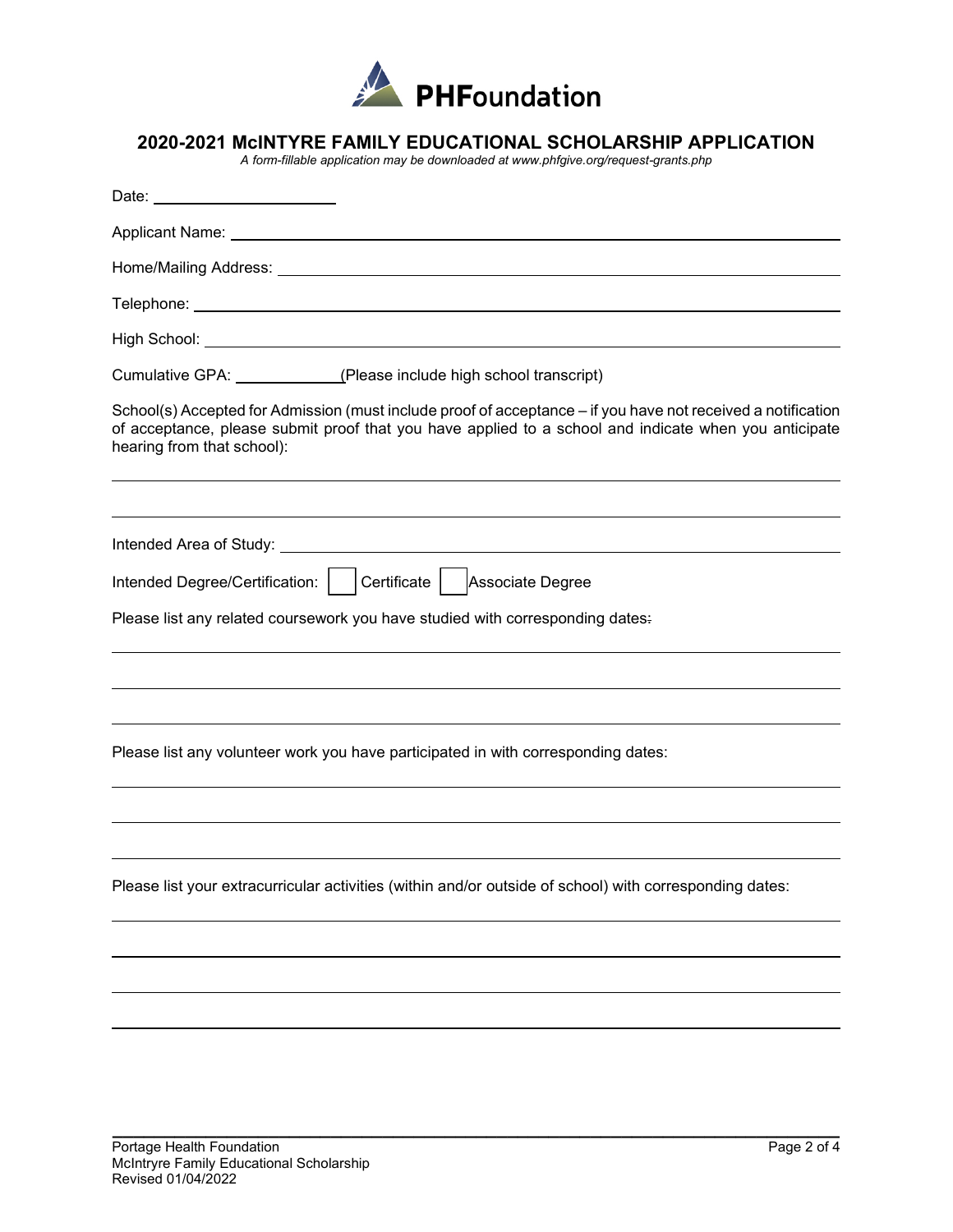

| Date: _________________________ |                                                                                                                                                                                                                       |
|---------------------------------|-----------------------------------------------------------------------------------------------------------------------------------------------------------------------------------------------------------------------|
|                                 |                                                                                                                                                                                                                       |
|                                 |                                                                                                                                                                                                                       |
|                                 |                                                                                                                                                                                                                       |
|                                 |                                                                                                                                                                                                                       |
|                                 | Cumulative GPA: (Please include high school transcript)                                                                                                                                                               |
| hearing from that school):      | School(s) Accepted for Admission (must include proof of acceptance - if you have not received a notification<br>of acceptance, please submit proof that you have applied to a school and indicate when you anticipate |
|                                 |                                                                                                                                                                                                                       |
|                                 | Intended Degree/Certification:   Certificate   Associate Degree                                                                                                                                                       |
|                                 | Please list any related coursework you have studied with corresponding dates:                                                                                                                                         |
|                                 |                                                                                                                                                                                                                       |
|                                 |                                                                                                                                                                                                                       |
|                                 | Please list any volunteer work you have participated in with corresponding dates:                                                                                                                                     |
|                                 |                                                                                                                                                                                                                       |
|                                 | Please list your extracurricular activities (within and/or outside of school) with corresponding dates:                                                                                                               |
|                                 |                                                                                                                                                                                                                       |
|                                 |                                                                                                                                                                                                                       |
|                                 |                                                                                                                                                                                                                       |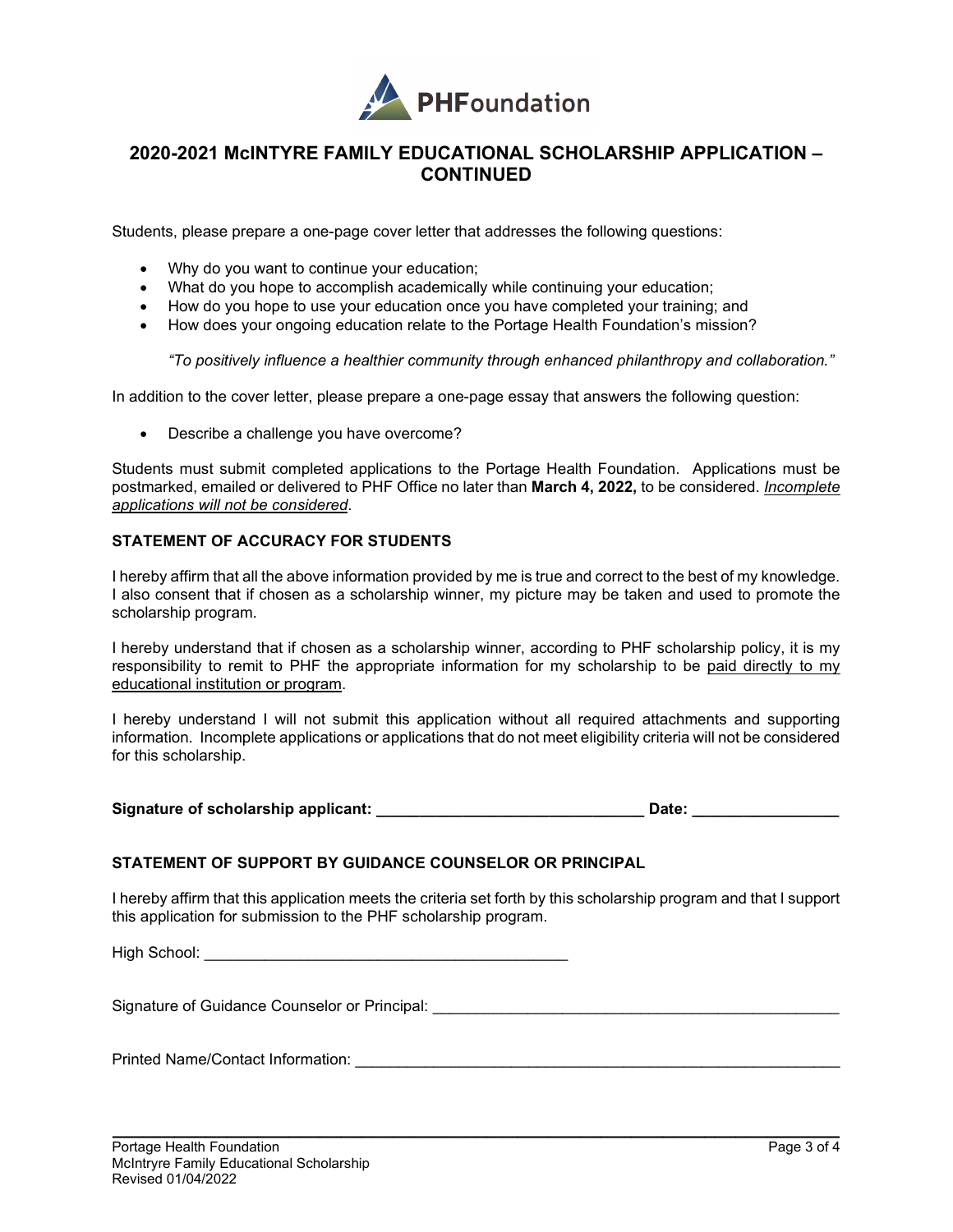

### **2020-2021 McINTYRE FAMILY EDUCATIONAL SCHOLARSHIP APPLICATION – CONTINUED**

Students, please prepare a one-page cover letter that addresses the following questions:

- Why do you want to continue your education;
- What do you hope to accomplish academically while continuing your education;
- How do you hope to use your education once you have completed your training; and
- How does your ongoing education relate to the Portage Health Foundation's mission?

*"To positively influence a healthier community through enhanced philanthropy and collaboration."*

In addition to the cover letter, please prepare a one-page essay that answers the following question:

• Describe a challenge you have overcome?

Students must submit completed applications to the Portage Health Foundation. Applications must be postmarked, emailed or delivered to PHF Office no later than **March 4, 2022,** to be considered. *Incomplete applications will not be considered*.

#### **STATEMENT OF ACCURACY FOR STUDENTS**

I hereby affirm that all the above information provided by me is true and correct to the best of my knowledge. I also consent that if chosen as a scholarship winner, my picture may be taken and used to promote the scholarship program.

I hereby understand that if chosen as a scholarship winner, according to PHF scholarship policy, it is my responsibility to remit to PHF the appropriate information for my scholarship to be paid directly to my educational institution or program.

I hereby understand I will not submit this application without all required attachments and supporting information. Incomplete applications or applications that do not meet eligibility criteria will not be considered for this scholarship.

Signature of scholarship applicant: **with a set of set of scholarship applicant: Example 20** 

#### **STATEMENT OF SUPPORT BY GUIDANCE COUNSELOR OR PRINCIPAL**

I hereby affirm that this application meets the criteria set forth by this scholarship program and that I support this application for submission to the PHF scholarship program.

High School: \_\_\_\_\_\_\_\_\_\_\_\_\_\_\_\_\_\_\_\_\_\_\_\_\_\_\_\_\_\_\_\_\_\_\_\_\_\_\_\_\_\_

Signature of Guidance Counselor or Principal: \_\_\_\_\_\_\_\_\_\_\_\_\_\_\_\_\_\_\_\_\_\_\_\_\_\_\_\_\_\_\_\_\_\_\_\_\_\_\_\_\_\_\_\_\_\_\_

Printed Name/Contact Information: \_\_\_\_\_\_\_\_\_\_\_\_\_\_\_\_\_\_\_\_\_\_\_\_\_\_\_\_\_\_\_\_\_\_\_\_\_\_\_\_\_\_\_\_\_\_\_\_\_\_\_\_\_\_\_\_